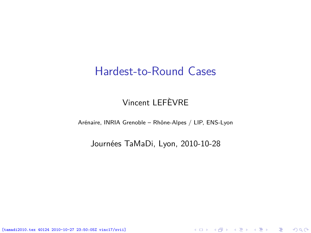#### Hardest-to-Round Cases

#### Vincent LEFÈVRE

Arénaire, INRIA Grenoble – Rhône-Alpes / LIP, ENS-Lyon

Journées TaMaDi, Lyon, 2010-10-28

<span id="page-0-0"></span>K ロ ▶ K @ ▶ K 할 ▶ K 할 ▶ 이 할 → 900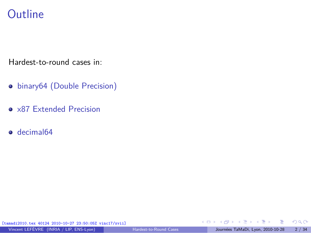## **Outline**

Hardest-to-round cases in:

- **•** [binary64 \(Double Precision\)](#page-2-0)
- [x87 Extended Precision](#page-32-0)
- o [decimal64](#page-33-0)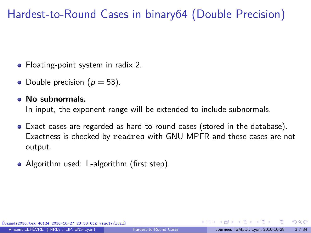## Hardest-to-Round Cases in binary64 (Double Precision)

- Floating-point system in radix 2.
- Double precision ( $p = 53$ ).
- **No subnormals.**

In input, the exponent range will be extended to include subnormals.

- Exact cases are regarded as hard-to-round cases (stored in the database). Exactness is checked by readres with GNU MPFR and these cases are not output.
- Algorithm used: L-algorithm (first step).

[tamadi2010.tex 40124 2010-10-27 23:50:05Z vinc17/xvii]

<span id="page-2-0"></span> $\Omega$ 

 $\mathcal{A}$  and  $\mathcal{A}$  in the set of  $\mathcal{B}$  is a set of  $\mathcal{B}$  is a set of  $\mathcal{B}$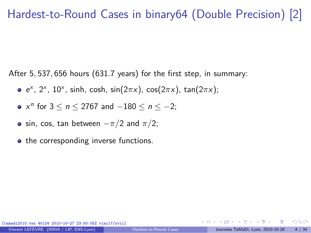## Hardest-to-Round Cases in binary64 (Double Precision) [2]

After 5*,* 537*,* 656 hours (631*.*7 years) for the first step, in summary:

- e x , 2<sup>x</sup> , 10<sup>x</sup> , sinh, cosh, sin(2*π*x), cos(2*π*x), tan(2*π*x);
- $x^n$  for  $3 \le n \le 2767$  and  $-180 \le n \le -2$ ;
- $\bullet$  sin, cos, tan between  $-\pi/2$  and  $\pi/2$ ;
- the corresponding inverse functions.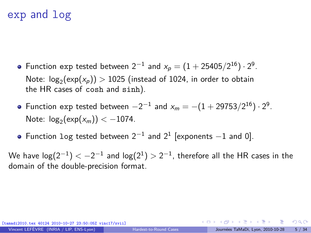## exp and log

- Function exp tested between  $2^{-1}$  and  $x_p = (1 + 25405/2^{16}) \cdot 2^9$ . Note:  $log_2(exp(x_p)) > 1025$  (instead of 1024, in order to obtain the HR cases of cosh and sinh).
- Function exp tested between  $-2^{-1}$  and  $x_m = -(1 + 29753/2^{16}) \cdot 2^9$ . Note:  $log_2(exp(x_m)) < -1074$ .
- Function log tested between  $2^{-1}$  and  $2^1$  [exponents  $-1$  and 0].

We have  $\log(2^{-1}) < -2^{-1}$  and  $\log(2^{1}) > 2^{-1}$ , therefore all the HR cases in the domain of the double-precision format.

[tamadi2010.tex 40124 2010-10-27 23:50:05Z vinc17/xvii]

 $\Omega$ 

 $A \equiv \mathbf{1} + \mathbf{1} \oplus \mathbf{1} + \mathbf{1} \oplus \mathbf{1} + \mathbf{1} \oplus \mathbf{1} + \mathbf{1} \oplus \mathbf{1} + \mathbf{1} \oplus \mathbf{1} + \mathbf{1} \oplus \mathbf{1} + \mathbf{1} \oplus \mathbf{1} + \mathbf{1} \oplus \mathbf{1} + \mathbf{1} \oplus \mathbf{1} + \mathbf{1} \oplus \mathbf{1} + \mathbf{1} \oplus \mathbf{1} + \mathbf{1} \oplus \mathbf{1} + \mathbf{1} \oplus \mathbf{1} + \math$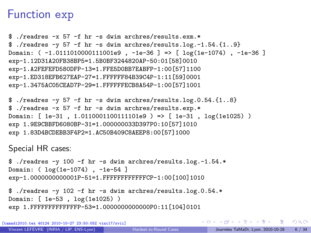### Function exp

```
$ ./readres -x 57 -f hr -s dwim archres/results.exm.*
$ ./readres -y 57 -f hr -s dwim archres/results.log.-1.54.{1..9}
Domain: ( -1.0111010000111001e9 , -1e-36 ] => [ log(1e-1074) , -1e-36 ]
exp-1.12D31A20FB38BP5=1.5B0BF3244820AP-50:01[58]0010
exp-1.A2FEFEFD580DFP-13=1.FFE5D0BB7EABFP-1:00[57]1100
exp-1.ED318EFB627EAP-27=1.FFFFFF84B39C4P-1:11[59]0001
exp-1.3475AC05CEAD7P-29=1.FFFFFFECB8A54P-1:00[57]1001
```

```
$ ./readres -y 57 -f hr -s dwim archres/results.log.0.54.{1..8}
$ ./readres -x 57 -f hr -s dwim archres/results.exp.*
Domain: [ 1e-31 , 1.0110001100111101e9 ) => [ 1e-31 , log(1e1025) )
exp 1.9E9CBBFD6080BP-31=1.000000033D397P0:10[57]1010
exp 1.83D4BCDEBB3F4P2=1.AC50B409C8AEEP8:00[57]1000
```
Special HR cases:

```
$ ./readres -y 100 -f hr -s dwim archres/results.log.-1.54.*
Domain: ( log(1e-1074) , -1e-54 ]
exp-1.0000000000001P-51=1.FFFFFFFFFFFFCP-1:00[100]1010
```

```
$ ./readres -y 102 -f hr -s dwim archres/results.log.0.54.*
Domain: [ 1e-53 , log(1e1025) )
exp 1.FFFFFFFFFFFFFP-53=1.0000000000000P0:11[104]0101
```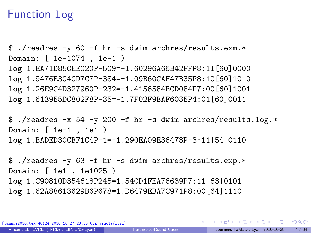### Function log

\$ ./readres -y 60 -f hr -s dwim archres/results.exm.\* Domain: [ 1e-1074 , 1e-1 ) log 1.EA71D85CEE020P-509=-1.60296A66B42FFP8:11[60]0000 log 1.9476E304CD7C7P-384=-1.09B60CAF47B35P8:10[60]1010 log 1.26E9C4D327960P-232=-1.4156584BCD084P7:00[60]1001 log 1.613955DC802F8P-35=-1.7F02F9BAF6035P4:01[60]0011

\$ ./readres -x 54 -y 200 -f hr -s dwim archres/results.log.\* Domain: [ 1e-1 , 1e1 ) log 1.BADED30CBF1C4P-1=-1.290EA09E36478P-3:11[54]0110

\$ ./readres -y 63 -f hr -s dwim archres/results.exp.\* Domain: [ 1e1 , 1e1025 ) log 1.C90810D354618P245=1.54CD1FEA76639P7:11[63]0101 log 1.62A88613629B6P678=1.D6479EBA7C971P8:00[64]1110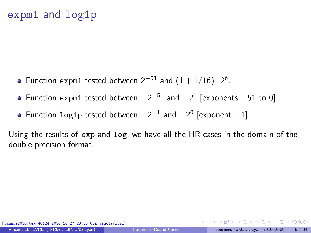## expm1 and log1p

- Function expm1 tested between  $2^{-51}$  and  $(1+1/16) \cdot 2^6$ .
- Function expm1 tested between  $-2^{-51}$  and  $-2^{1}$  [exponents  $-51$  to 0].
- Function  $log_1 p$  tested between  $-2^{-1}$  and  $-2^0$  [exponent  $-1$ ].

Using the results of exp and log, we have all the HR cases in the domain of the double-precision format.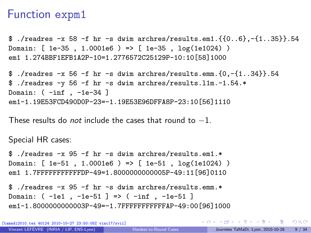### Function expm1

\$ ./readres  $-x$  58 -f hr -s dwim archres/results.em1.{ $\{0..6\}$ ,- $\{1..35\}$ }.54 Domain: [ 1e-35 , 1.0001e6 ) => [ 1e-35 , log(1e1024) ) em1 1.274BBF1EFB1A2P-10=1.2776572C25129P-10:10[58]1000

```
$ ./readres -x 56 -f hr -s dwim archres/results.emm.\{0, -\{1..34\}\}.54
$ ./readres -y 56 -f hr -s dwim archres/results.l1m.-1.54.*
Domain: ( -inf , -1e-34 ]
em1-1.19E53FCD490D0P-23=-1.19E53E96DFFA8P-23:10[56]1110
```
These results do *not* include the cases that round to  $-1$ .

Special HR cases:

\$ ./readres -x 95 -f hr -s dwim archres/results.em1.\* Domain: [ 1e-51 , 1.0001e6 ) => [ 1e-51 , log(1e1024) ) em1 1.7FFFFFFFFFFFDP-49=1.8000000000005P-49:11[96]0110

\$ ./readres -x 95 -f hr -s dwim archres/results.emm.\* Domain: ( -1e1 , -1e-51 ] => ( -inf , -1e-51 ] em1-1.8000000000003P-49=-1.7FFFFFFFFFFFAP-49:00[96]1000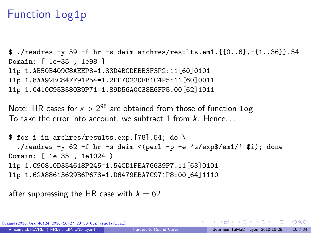## Function log1p

```
$./readres \neg 59 -f hr \negs dwim archres/results.em1.{{0..6},\neg{1..36}}.54
Domain: [ 1e-35 , 1e98 ]
l1p 1.AB50B409C8AEEP8=1.83D4BCDEBB3F3P2:11[60]0101
l1p 1.8AA92BC84FF91P54=1.2EE70220FB1C4P5:11[60]0011
l1p 1.0410C95B580B9P71=1.89D56A0C38E6FP5:00[62]1011
```
Note: HR cases for  $x > 2^{98}$  are obtained from those of function  $\log x$ . To take the error into account, we subtract 1 from  $k$ . Hence...

```
$ for i in archres/results.exp.[78].54; do \
  ./readres -v 62 -f hr -s dwim \le(perl -p -e 's/exp$/em1/' $i); done
Domain: [ 1e-35 , 1e1024 )
l1p 1.C90810D354618P245=1.54CD1FEA76639P7:11[63]0101
l1p 1.62A88613629B6P678=1.D6479EBA7C971P8:00[64]1110
```
after suppressing the HR case with  $k = 62$ .

[tamadi2010.tex 40124 2010-10-27 23:50:05Z vinc17/xvii]

 $299$ 

 $\mathbf{A} \otimes \mathbf{A} \rightarrow \mathbf{A} \otimes \mathbf{A} \rightarrow \mathbf{A} \otimes \mathbf{A} \rightarrow \mathbf{A} \otimes \mathbf{A} \rightarrow \mathbf{A} \otimes \mathbf{A} \rightarrow \mathbf{A} \otimes \mathbf{A} \rightarrow \mathbf{A} \otimes \mathbf{A} \rightarrow \mathbf{A} \otimes \mathbf{A} \rightarrow \mathbf{A} \otimes \mathbf{A} \rightarrow \mathbf{A} \otimes \mathbf{A} \rightarrow \mathbf{A} \otimes \mathbf{A} \rightarrow \mathbf{A} \otimes \mathbf{A} \rightarrow \mathbf{A} \otimes \mathbf{A} \$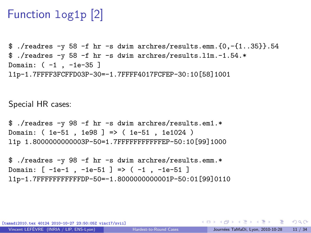## Function log1p [2]

\$ ./readres  $-y$  58  $-f$  hr  $-s$  dwim archres/results.emm.{0, $-f$ 1..35}}.54 \$ ./readres -y 58 -f hr -s dwim archres/results.l1m.-1.54.\* Domain: ( -1 , -1e-35 ] l1p-1.7FFFF3FCFFD03P-30=-1.7FFFF4017FCFEP-30:10[58]1001

Special HR cases:

\$ ./readres -y 98 -f hr -s dwim archres/results.em1.\* Domain: ( 1e-51 , 1e98 ] => ( 1e-51 , 1e1024 ) l1p 1.8000000000003P-50=1.7FFFFFFFFFFFEP-50:10[99]1000

\$ ./readres -y 98 -f hr -s dwim archres/results.emm.\* Domain: [ -1e-1 , -1e-51 ] => ( -1 , -1e-51 ] l1p-1.7FFFFFFFFFFFDP-50=-1.8000000000001P-50:01[99]0110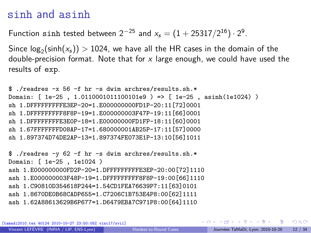#### sinh and asinh

Function sinh tested between  $2^{-25}$  and  $x_s = (1 + 25317/2^{16}) \cdot 2^9$ .

 $\mathsf{Since}\ \mathsf{log}_2(\mathsf{sinh}(x_\mathsf{s}))>1024,$  we have all the HR cases in the domain of the double-precision format. Note that for  $x$  large enough, we could have used the results of exp.

```
$./readres -x 56 -f hr -s dwim archres/results.sh.*
Domain: [ 1e-25 , 1.0110001011100101e9 ) => [ 1e-25 , asinh(1e1024) )
sh 1.DFFFFFFFFFE3EP-20=1.E000000000FD1P-20:11[72]0001
sh 1.DFFFFFFFFF8F8P-19=1.E000000003F47P-19:11[66]0001
sh 1.DFFFFFFFFE3E0P-18=1.E00000000FD1FP-18:11[60]0001
sh 1.67FFFFFFFD08AP-17=1.680000001AB25P-17:11[57]0000
sh 1.897374D74DE2AP-13=1.897374FE073E1P-13:10[56]1011
$ ./readres -y 62 -f hr -s dwim archres/results.sh.*
Domain: [ 1e-25 , 1e1024 )
ash 1.E000000000FD2P-20=1.DFFFFFFFFFE3EP-20:00[72]1110
ash 1.E000000003F48P-19=1.DFFFFFFFFF8F8P-19:00[66]1110
ash 1.C90810D354618P244=1.54CD1FEA76639P7:11[63]0101
ash 1.8670DE0B68CADP655=1.C7206C1B753E4P8:00[62]1111
ash 1.62A88613629B6P677=1.D6479EBA7C971P8:00[64]1110
```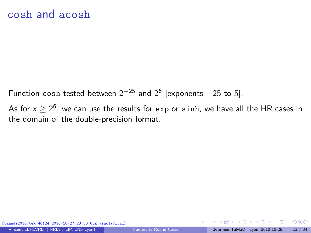Function cosh tested between  $2^{-25}$  and  $2^6$  [exponents  $-25$  to 5].

As for  $x \ge 2^6$ , we can use the results for exp or sinh, we have all the HR cases in the domain of the double-precision format.

[tamadi2010.tex 40124 2010-10-27 23:50:05Z vinc17/xvii]

 $\Omega$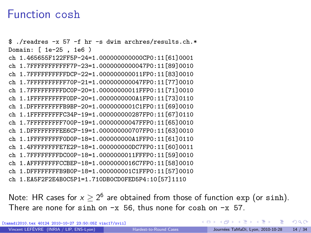#### Function cosh

\$ ./readres -x 57 -f hr -s dwim archres/results.ch.\* Domain: [ 1e-25 , 1e6 ) ch 1.465655F122FF5P-24=1.000000000000CP0:11[61]0001 ch 1.7FFFFFFFFFFF7P-23=1.0000000000047P0:11[89]0010 ch 1.7FFFFFFFFFFDCP-22=1.000000000011FP0:11[83]0010 ch 1.7FFFFFFFFFF70P-21=1.000000000047FP0:11[77]0010 ch 1.7FFFFFFFFFDC0P-20=1.00000000011FFP0:11[71]0010 ch 1.1FFFFFFFFFF0DP-20=1.0000000000A1FP0:11[73]0110 ch 1.DFFFFFFFFFB9BP-20=1.0000000001C1FP0:11[69]0010 ch 1.1FFFFFFFFFC34P-19=1.000000000287FP0:11[67]0110 ch 1.7FFFFFFFFF700P-19=1.00000000047FFP0:11[65]0010 ch 1.DFFFFFFFFEE6CP-19=1.000000000707FP0:11[63]0010 ch 1.1FFFFFFFFF0D0P-18=1.000000000A1FFP0:11[61]0110 ch 1.4FFFFFFFFE7E2P-18=1.000000000DC7FP0:11[60]0011 ch 1.7FFFFFFFFDC00P-18=1.0000000011FFFP0:11[59]0010 ch 1.AFFFFFFFFCCBEP-18=1.0000000016C7FP0:11[58]0010 ch 1.DFFFFFFFFB9B0P-18=1.000000001C1FFP0:11[57]0010 ch 1.EA5F2F2E4B0C5P1=1.710DB0CD0FED5P4:10[57]1110

Note: HR cases for  $x \ge 2^6$  are obtained from those of function exp (or sinh). There are none for sinh on  $-x$  56, thus none for cosh on  $-x$  57.

[tamadi2010.tex 40124 2010-10-27 23:50:05Z vinc17/xvii]

 $2990$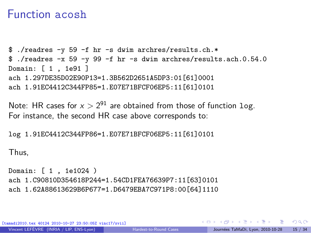#### Function acosh

```
$ ./readres -y 59 -f hr -s dwim archres/results.ch.*
$ ./readres -x 59 -y 99 -f hr -s dwim archres/results.ach.0.54.0
Domain: [ 1 , 1e91 ]
ach 1.297DE35D02E90P13=1.3B562D2651A5DP3:01[61]0001
ach 1.91EC4412C344FP85=1.E07E71BFCF06EP5:11[61]0101
```
Note: HR cases for  $x > 2^{91}$  are obtained from those of function  $\log x$ . For instance, the second HR case above corresponds to:

log 1.91EC4412C344FP86=1.E07E71BFCF06EP5:11[61]0101

Thus,

```
Domain: [ 1 , 1e1024 )
ach 1.C90810D354618P244=1.54CD1FEA76639P7:11[63]0101
ach 1.62A88613629B6P677=1.D6479EBA7C971P8:00[64]1110
```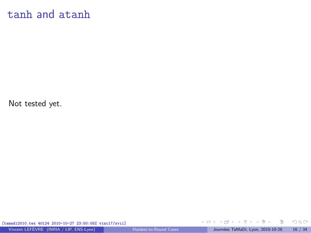#### tanh and atanh

Not tested yet.

[tamadi2010.tex 40124 2010-10-27 23:50:05Z vinc17/xvii]

重

 $299$ 

メロメ メ御 メメ ヨメ メヨメ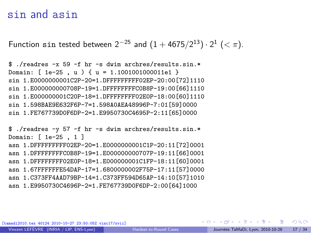#### sin and asin

Function sin tested between  $2^{-25}$  and  $(1 + 4675/2^{13}) \cdot 2^{1}$  (< π).

\$ ./readres -x 59 -f hr -s dwim archres/results.sin.\* Domain: [ 1e-25 , u ) { u = 1.1001001000011e1 } sin 1.E0000000001C2P-20=1.DFFFFFFFFF02EP-20:00[72]1110 sin 1.E000000000708P-19=1.DFFFFFFFFC0B8P-19:00[66]1110 sin 1.E000000001C20P-18=1.DFFFFFFFF02E0P-18:00[60]1110 sin 1.598BAE9E632F6P-7=1.598A0AEA48996P-7:01[59]0000 sin 1.FE767739D0F6DP-2=1.E9950730C4695P-2:11[65]0000

\$ ./readres -y 57 -f hr -s dwim archres/results.sin.\* Domain: [ 1e-25 , 1 ] asn 1.DFFFFFFFFF02EP-20=1.E0000000001C1P-20:11[72]0001 asn 1.DFFFFFFFFC0B8P-19=1.E000000000707P-19:11[66]0001 asn 1.DFFFFFFFF02E0P-18=1.E000000001C1FP-18:11[60]0001 asn 1.67FFFFFFE54DAP-17=1.6800000002F75P-17:11[57]0000 asn 1.C373FF4AAD79BP-14=1.C373FF594D65AP-14:10[57]1010 asn 1.E9950730C4696P-2=1.FE767739D0F6DP-2:00[64]1000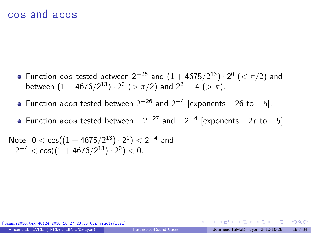#### cos and acos

- Function cos tested between  $2^{-25}$  and  $(1 + 4675/2^{13}) \cdot 2^0$  (<  $\pi/2$ ) and between  $(1 + 4676/2^{13}) \cdot 2^0$   $(>\pi/2)$  and  $2^2 = 4$   $(>\pi)$ .
- Function acos tested between  $2^{-26}$  and  $2^{-4}$  [exponents  $-26$  to  $-5$ ].
- Function acos tested between  $-2^{-27}$  and  $-2^{-4}$  [exponents  $-27$  to  $-5$ ].

Note:  $0 < \cos((1 + 4675/2^{13}) \cdot 2^0) < 2^{-4}$  and  $-2^{-4} < \cos((1 + \frac{4676}{2^{13}}) \cdot 2^0) < 0.$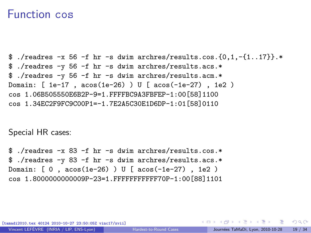#### Function cos

\$./readres  $-x$  56  $-f$  hr  $-s$  dwim archres/results.cos. $\{0,1,-\{1..17\}\}$ .\* \$ ./readres -y 56 -f hr -s dwim archres/results.acs.\* \$ ./readres -y 56 -f hr -s dwim archres/results.acm.\* Domain: [ 1e-17 , acos(1e-26) ) U [ acos(-1e-27) , 1e2 ) cos 1.06B505550E6B2P-9=1.FFFFBC9A3FBFEP-1:00[58]1100 cos 1.34EC2F9FC9C00P1=-1.7E2A5C30E1D6DP-1:01[58]0110

Special HR cases:

\$ ./readres -x 83 -f hr -s dwim archres/results.cos.\* \$ ./readres -y 83 -f hr -s dwim archres/results.acs.\* Domain: [ 0 , acos(1e-26) ) U [ acos(-1e-27) , 1e2 )  $cos 1.800000000009P - 23 = 1$  FFFFFFFFFFFF70P-1:00 [88] 1101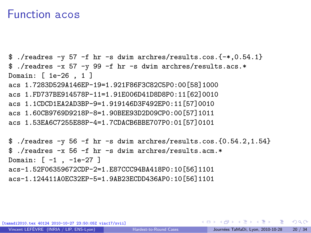#### Function acos

```
$ ./readres -y 57 -f hr -s dwim archres/results.cos.\{-*,0.54.1\}$ ./readres -x 57 -y 99 -f hr -s dwim archres/results.acs.*
Domain: [ 1e-26 , 1 ]
acs 1.7283D529A146EP-19=1.921F86F3C82C5P0:00[58]1000
acs 1.FD737BE914578P-11=1.91E006D41D8D8P0:11[62]0010
acs 1.1CDCD1EA2AD3BP-9=1.919146D3F492EP0:11[57]0010
acs 1.60CB9769D9218P-8=1.90BEE93D2D09CP0:00[57]1011
acs 1.53EA6C7255E88P-4=1.7CDACB6BBE707P0:01[57]0101
```

```
$./reads -y 56 -f hr -s dwim archres/results.cos.[0.54.2,1.54]$ ./readres -x 56 -f hr -s dwim archres/results.acm.*
Domain: [ -1 , -1e-27 ]
acs-1.52F06359672CDP-2=1.E87CCC94BA418P0:10[56]1101
acs-1.124411A0EC32EP-5=1.9AB23ECDD436AP0:10[56]1101
```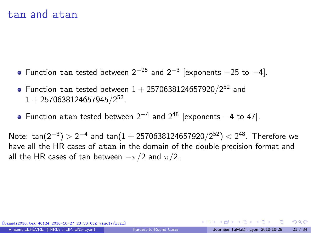#### tan and atan

- Function tan tested between  $2^{-25}$  and  $2^{-3}$  [exponents  $-25$  to  $-4$ ].
- Function  $\tan$  tested between  $1 + 2570638124657920/2^{52}$  and 1 + 2570638124657945*/*2 52 .
- Function atan tested between  $2^{-4}$  and  $2^{48}$  [exponents  $-4$  to 47].

Note:  $\tan(2^{-3}) > 2^{-4}$  and  $\tan(1 + 2570638124657920/2^{52}) < 2^{48}$ . Therefore we have all the HR cases of atan in the domain of the double-precision format and all the HR cases of tan between −*π/*2 and *π/*2.

[tamadi2010.tex 40124 2010-10-27 23:50:05Z vinc17/xvii]

 $\Omega$ 

 $\left\{ \begin{array}{ccc} \square & \times & \overline{c} & \overline{c} & \rightarrow & \overline{c} & \rightarrow & \overline{c} & \rightarrow & \overline{c} & \rightarrow & \overline{c} & \rightarrow & \overline{c} & \rightarrow & \overline{c} & \rightarrow & \overline{c} & \rightarrow & \overline{c} & \rightarrow & \overline{c} & \rightarrow & \overline{c} & \rightarrow & \overline{c} & \rightarrow & \overline{c} & \rightarrow & \overline{c} & \rightarrow & \overline{c} & \rightarrow & \overline{c} & \rightarrow & \overline{c} & \rightarrow & \overline{c} & \rightarrow & \overline{c} & \rightarrow & \overline{c}$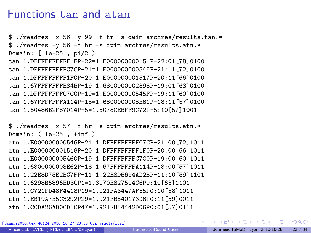#### Functions tan and atan

\$ ./readres -x 56 -y 99 -f hr -s dwim archres/results.tan.\* \$ ./readres -y 56 -f hr -s dwim archres/results.atn.\* Domain: [ 1e-25 , pi/2 ) tan 1.DFFFFFFFFFF1FP-22=1.E000000000151P-22:01[78]0100 tan 1.DFFFFFFFFFC7CP-21=1.E000000000545P-21:11[72]0100 tan 1.DFFFFFFFFF1F0P-20=1.E000000001517P-20:11[66]0100 tan 1.67FFFFFFFE845P-19=1.6800000002398P-19:01[63]0100 tan 1.DFFFFFFFFC7C0P-19=1.E00000000545FP-19:11[60]0100 tan 1.67FFFFFFFA114P-18=1.6800000008E61P-18:11[57]0100 tan 1.50486B2F87014P-5=1.5078CEBFF9C72P-5:10[57]1001

\$ ./readres -x 57 -f hr -s dwim archres/results.atn.\* Domain: ( 1e-25 , +inf ) atn 1.E000000000546P-21=1.DFFFFFFFFFC7CP-21:00[72]1011 atn 1.E000000001518P-20=1.DFFFFFFFFF1F0P-20:00[66]1011 atn 1.E000000005460P-19=1.DFFFFFFFFC7C0P-19:00[60]1011 atn 1.6800000008E62P-18=1.67FFFFFFFA114P-18:00[57]1011 atn 1.22E8D75E2BC7FP-11=1.22E8D5694AD2BP-11:10[59]1101 atn 1.6298B5896ED3CP1=1.3970E827504C6P0:10[63]1101 atn 1.C721FD48F4418P19=1.921FA3447AF55P0:10[58]1011 atn 1.EB19A7B5C3292P29=1.921FB540173D6P0:11[59]0011 atn 1.CCDA26AD0CD1CP47=1.921FB54442D06P0:01[57]0111

[tamadi2010.tex 40124 2010-10-27 23:50:05Z vinc17/xvii]

 $QQ$ 

- 3

 $\left\{ \begin{array}{ccc} 1 & 0 & 0 \\ 0 & 1 & 0 \end{array} \right.$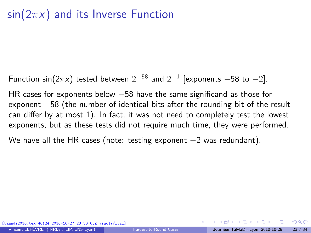## sin(2*π*x) and its Inverse Function

Function sin $(2\pi x)$  tested between  $2^{-58}$  and  $2^{-1}$  [exponents  $-58$  to  $-2$ ].

HR cases for exponents below −58 have the same significand as those for exponent  $-58$  (the number of identical bits after the rounding bit of the result can differ by at most 1). In fact, it was not need to completely test the lowest exponents, but as these tests did not require much time, they were performed.

We have all the HR cases (note: testing exponent  $-2$  was redundant).

 $\Omega$ 

イロト イ押 トイヨ トイヨト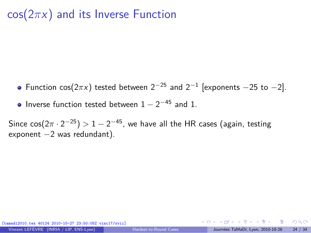## cos(2*π*x) and its Inverse Function

- Function cos( $2\pi x$ ) tested between  $2^{-25}$  and  $2^{-1}$  [exponents  $-25$  to  $-2$ ].
- Inverse function tested between  $1 2^{-45}$  and 1.

Since  $cos(2\pi \cdot 2^{-25}) > 1 - 2^{-45}$ , we have all the HR cases (again, testing exponent -2 was redundant).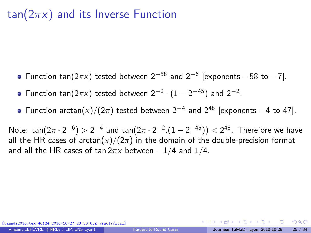## tan(2*π*x) and its Inverse Function

- Function tan( $2\pi x$ ) tested between  $2^{-58}$  and  $2^{-6}$  [exponents  $-58$  to  $-7$ ].
- Function tan( $2\pi x$ ) tested between  $2^{-2} \cdot (1 2^{-45})$  and  $2^{-2}$ .
- Function  $arctan(x)/(2\pi)$  tested between  $2^{-4}$  and  $2^{48}$  [exponents  $-4$  to 47].

Note: tan(2π · 2<sup>-6</sup>) > 2<sup>-4</sup> and tan(2π · 2<sup>-2</sup>.(1 − 2<sup>-45</sup>)) < 2<sup>48</sup>. Therefore we have all the HR cases of arctan(x)/( $2\pi$ ) in the domain of the double-precision format and all the HR cases of tan 2*π*x between −1*/*4 and 1*/*4.

[tamadi2010.tex 40124 2010-10-27 23:50:05Z vinc17/xvii]

 $\Omega$ 

 $\left\{ \begin{array}{ccc} \square & \times & \overline{c} & \overline{c} & \rightarrow & \overline{c} & \rightarrow & \overline{c} & \rightarrow & \overline{c} & \rightarrow & \overline{c} & \rightarrow & \overline{c} & \rightarrow & \overline{c} & \rightarrow & \overline{c} & \rightarrow & \overline{c} & \rightarrow & \overline{c} & \rightarrow & \overline{c} & \rightarrow & \overline{c} & \rightarrow & \overline{c} & \rightarrow & \overline{c} & \rightarrow & \overline{c} & \rightarrow & \overline{c} & \rightarrow & \overline{c} & \rightarrow & \overline{c} & \rightarrow & \overline{c} & \rightarrow & \overline{c}$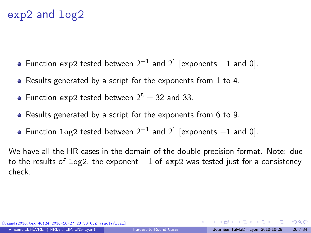## exp2 and log2

- Function exp2 tested between  $2^{-1}$  and  $2^1$  [exponents  $-1$  and 0].
- Results generated by a script for the exponents from 1 to 4.
- Function exp2 tested between  $2^5 = 32$  and 33.
- Results generated by a script for the exponents from 6 to 9.
- Function  $log2$  tested between  $2^{-1}$  and  $2^{1}$  [exponents  $-1$  and 0].

We have all the HR cases in the domain of the double-precision format. Note: due to the results of log2, the exponent  $-1$  of exp2 was tested just for a consistency check.

 $\Omega$ 

 $A \equiv \mathbf{1} + \mathbf{1} \oplus \mathbf{1} + \mathbf{1} \oplus \mathbf{1} + \mathbf{1} \oplus \mathbf{1} + \mathbf{1} \oplus \mathbf{1} + \mathbf{1} \oplus \mathbf{1} + \mathbf{1} \oplus \mathbf{1} + \mathbf{1} \oplus \mathbf{1} + \mathbf{1} \oplus \mathbf{1} + \mathbf{1} \oplus \mathbf{1} + \mathbf{1} \oplus \mathbf{1} + \mathbf{1} \oplus \mathbf{1} + \mathbf{1} \oplus \mathbf{1} + \mathbf{1} \oplus \mathbf{1} + \math$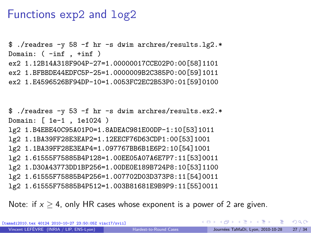### Functions exp2 and log2

\$ ./readres -y 58 -f hr -s dwim archres/results.lg2.\* Domain: ( -inf , +inf ) ex2 1.12B14A318F904P-27=1.00000017CCE02P0:00[58]1101 ex2 1.BFBBDE44EDFC5P-25=1.0000009B2C385P0:00[59]1011 ex2 1.E4596526BF94DP-10=1.0053FC2EC2B53P0:01[59]0100

\$ ./readres -y 53 -f hr -s dwim archres/results.ex2.\* Domain: [ 1e-1 , 1e1024 ) lg2 1.B4EBE40C95A01P0=1.8ADEAC981E00DP-1:10[53]1011 lg2 1.1BA39FF28E3EAP2=1.12EECF76D63CDP1:00[53]1001 lg2 1.1BA39FF28E3EAP4=1.097767BB6B1E6P2:10[54]1001 lg2 1.61555F75885B4P128=1.00EE05A07A6E7P7:11[53]0011 lg2 1.D30A43773DD1BP256=1.00DE0E189B724P8:10[53]1100 lg2 1.61555F75885B4P256=1.007702D03D373P8:11[54]0011 lg2 1.61555F75885B4P512=1.003B81681E9B9P9:11[55]0011

Note: if  $x > 4$ , only HR cases whose exponent is a power of 2 are given.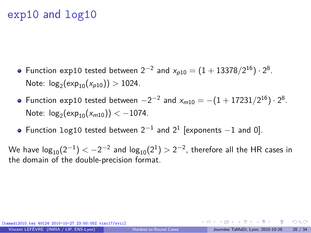## exp10 and log10

- Function exp10 tested between  $2^{-2}$  and  $x_{p10} = (1 + 13378/2^{16}) \cdot 2^8$ . Note:  $log_2(exp_{10}(x_{p10})) > 1024$ .
- Function exp10 tested between  $-2^{-2}$  and  $x_{m10} = -(1 + 17231/2^{16}) \cdot 2^8$ . Note:  $log_2(exp_{10}(x_{m10})) < -1074$ .
- Function  $log10$  tested between  $2^{-1}$  and  $2^1$  [exponents  $-1$  and 0].

We have  $\log_{10}(2^{-1}) < -2^{-2}$  and  $\log_{10}(2^{1}) > 2^{-2}$ , therefore all the HR cases in the domain of the double-precision format.

[tamadi2010.tex 40124 2010-10-27 23:50:05Z vinc17/xvii]

 $\Omega$ 

 $A \equiv \mathbf{1} + \mathbf{1} + \mathbf{1} + \mathbf{1} + \mathbf{1} + \mathbf{1} + \mathbf{1} + \mathbf{1} + \mathbf{1} + \mathbf{1} + \mathbf{1} + \mathbf{1} + \mathbf{1} + \mathbf{1} + \mathbf{1} + \mathbf{1} + \mathbf{1} + \mathbf{1} + \mathbf{1} + \mathbf{1} + \mathbf{1} + \mathbf{1} + \mathbf{1} + \mathbf{1} + \mathbf{1} + \mathbf{1} + \mathbf{1} + \mathbf{1} + \mathbf{1} + \mathbf{1} + \mathbf{1} +$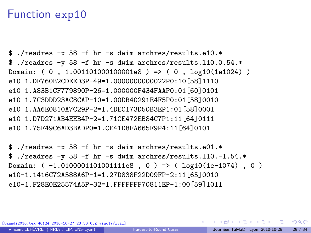#### Function exp10

 $$$  /readres  $-x$  58 -f hr -s dwim archres/results.e10. $*$ \$ ./readres -y 58 -f hr -s dwim archres/results.l10.0.54.\* Domain: ( 0 , 1.001101000100001e8 ) => ( 0 , log10(1e1024) ) e10 1.DF760B2CDEED3P-49=1.0000000000022P0:10[58]1110 e10 1.A83B1CF779890P-26=1.000000F434FAAP0:01[60]0101 e10 1.7C3DDD23AC8CAP-10=1.00DB40291E4F5P0:01[58]0010 e10 1.AA6E0810A7C29P-2=1.4DEC173D50B3EP1:01[58]0001 e10 1.D7D271AB4EEB4P-2=1.71CE472EB84C7P1:11[64]0111 e10 1.75F49C6AD3BADP0=1.CE41D8FA665F9P4:11[64]0101

\$ ./readres  $-x$  58  $-f$  hr  $-s$  dwim archres/results.e01.\* \$ ./readres -y 58 -f hr -s dwim archres/results.l10.-1.54.\* Domain: ( -1.0100001101001111e8 , 0 ) => ( log10(1e-1074) , 0 ) e10-1.1416C72A588A6P-1=1.27D838F22D09FP-2:11[65]0010 e10-1.F28E0E25574A5P-32=1.FFFFFFF70811EP-1:00[59]1011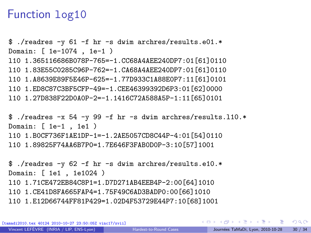### Function log10

\$ ./readres -y 61 -f hr -s dwim archres/results.e01.\* Domain: [ 1e-1074 , 1e-1 ) l10 1.365116686B078P-765=-1.CC68A4AEE240DP7:01[61]0110 l10 1.83E55C0285C96P-762=-1.CA68A4AEE240DP7:01[61]0110 l10 1.A8639E89F5E46P-625=-1.77D933C1A88E0P7:11[61]0101 l10 1.ED8C87C3BF5CFP-49=-1.CEE46399392D6P3:01[62]0000 l10 1.27D838F22D0A0P-2=-1.1416C72A588A5P-1:11[65]0101

\$ ./readres -x 54 -y 99 -f hr -s dwim archres/results.l10.\* Domain: [ 1e-1 , 1e1 ) l10 1.B0CF736F1AE1DP-1=-1.2AE5057CD8C44P-4:01[54]0110 l10 1.89825F74AA6B7P0=1.7E646F3FAB0D0P-3:10[57]1001

\$ ./readres -y 62 -f hr -s dwim archres/results.e10.\* Domain: [ 1e1 , 1e1024 ) l10 1.71CE472EB84C8P1=1.D7D271AB4EEB4P-2:00[64]1010 l10 1.CE41D8FA665FAP4=1.75F49C6AD3BADP0:00[66]1010 l10 1.E12D66744FF81P429=1.02D4F53729E44P7:10[68]1001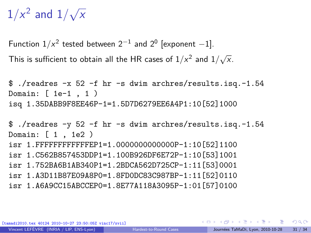# $1/x^2$  and  $1/\sqrt{x}$

Function  $1/x^2$  tested between  $2^{-1}$  and  $2^0$  [exponent  $-1$ ]. This is sufficient to obtain all the HR cases of  $1/x^2$  and  $1/\sqrt{x}$ .

```
$ ./readres -x 52 -f hr -s dwim archres/results.isq.-1.54
Domain: [ 1e-1 , 1 )
isq 1.35DABB9F8EE46P-1=1.5D7D6279EE6A4P1:10[52]1000
```

```
$ ./readres -y 52 -f hr -s dwim archres/results.isq.-1.54
Domain: [ 1 , 1e2 )
isr 1.FFFFFFFFFFFFEP1=1.0000000000000P-1:10[52]1100
isr 1.C562B857453DDP1=1.100B926DF6E72P-1:10[53]1001
isr 1.752BA6B1AB340P1=1.2BDCA562D725CP-1:11[53]0001
isr 1.A3D11B87E09A8P0=1.8FD0DC83C987BP-1:11[52]0110
isr 1.A6A9CC15ABCCEP0=1.8E77A118A3095P-1:01[57]0100
```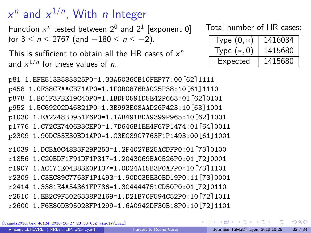# $x^n$  and  $x^{1/n}$ , With *n* Integer

Function  $x^n$  tested between  $2^0$  and  $2^1$  [exponent 0] for  $3 \le n \le 2767$  (and  $-180 \le n \le -2$ ).

This is sufficient to obtain all the HR cases of  $x^n$ and  $x^{1/n}$  for these values of *n*.

#### Total number of HR cases:

| Type $(0,*)$ | 1416034 |
|--------------|---------|
| Type $(*,0)$ | 1415680 |
| Expected     | 1415680 |

p81 1.EFE513B583325P0=1.33A5036CB10FEP77:00[62]1111 p458 1.0F38CFAACB71AP0=1.1F0B0876BA025P38:10[61]1110 p878 1.B01F3FBE19C40P0=1.1BDF0591D5E42P663:01[62]0101 p952 1.5C69202D46821P0=1.3B993E08AAD26P423:10[63]1001 p1030 1.EA2248BD951F6P0=1.1AB491BDA9399P965:10[62]1001 p1776 1.C72CE7406B3CEP0=1.7D646B1EE4F67P1474:01[64]0011 p2309 1.90DC35E30BD1AP0=1.C3EC89C7763F1P1493:00[61]1001

r1039 1.DCBA0C48B3F29P253=1.2F4027B25ACDFP0:01[73]0100 r1856 1.C20BDF1F91DF1P317=1.2043069BA0526P0:01[72]0001 r1907 1.AC171E04B83E0P137=1.0D24A15B3F0AFP0:10[73]1101 r2309 1.C3EC89C7763F1P1493=1.90DC35E30BD19P0:11[73]0001 r2414 1.3381E4A54361FP736=1.3C4444751CD50P0:01[72]0110 r2510 1.EB2C9F5026338P2169=1.D21B70F594C52P0:10[72]1011 r2600 1.F6E80DB95028FP1299=1.6A0942DF30B18P0:10[72]1101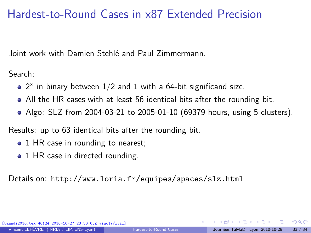## Hardest-to-Round Cases in x87 Extended Precision

Joint work with Damien Stehlé and Paul Zimmermann.

Search:

- $2^x$  in binary between  $1/2$  and  $1$  with a 64-bit significand size.
- All the HR cases with at least 56 identical bits after the rounding bit.
- Algo: SLZ from 2004-03-21 to 2005-01-10 (69379 hours, using 5 clusters).

Results: up to 63 identical bits after the rounding bit.

- 1 HR case in rounding to nearest;
- 1 HR case in directed rounding.

Details on: <http://www.loria.fr/equipes/spaces/slz.html>

<span id="page-32-0"></span> $\Omega$ 

 $\left\{ \begin{array}{ccc} 1 & 0 & 0 \\ 0 & 1 & 0 \end{array} \right.$